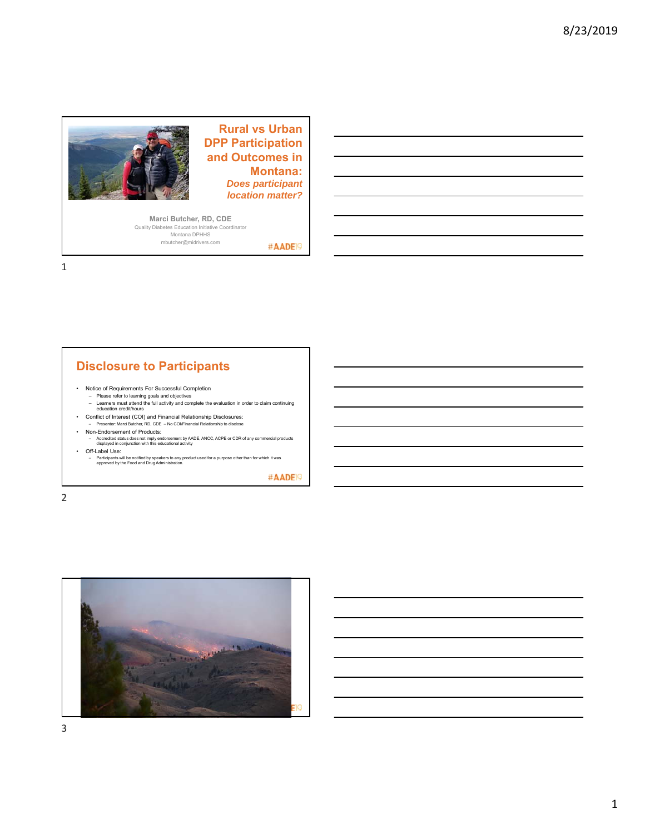

**Rural vs Urban DPP Participation and Outcomes in Montana:** *Does participant location matter?*

#AADE<sup>19</sup>

**Marci Butcher, RD, CDE**  Quality Diabetes Education Initiative Coordinator Montana DPHHS mbutcher@midrivers.com

1

# **Disclosure to Participants**

- Notice of Requirements For Successful Completion
	- Please refer to learning goals and objectives Learners must attend the full activity and complete the evaluation in order to claim continuing education credit/hours
	-
- Conflict of Interest (COI) and Financial Relationship Disclosures: – Presenter: Marci Butcher, RD, CDE – No COI/Financial Relationship to disclose
- Non-Endorsement of Products:
	- Accredited status does not imply endorsement by AADE, ANCC, ACPE or CDR of any commercial products displayed in conjunction with this educational activity
- Off-Label Use:
- Participants will be notified by speakers to any product used for a purpose other than for which it was approved by the Food and Drug Administration.

#AADE<sup>19</sup>

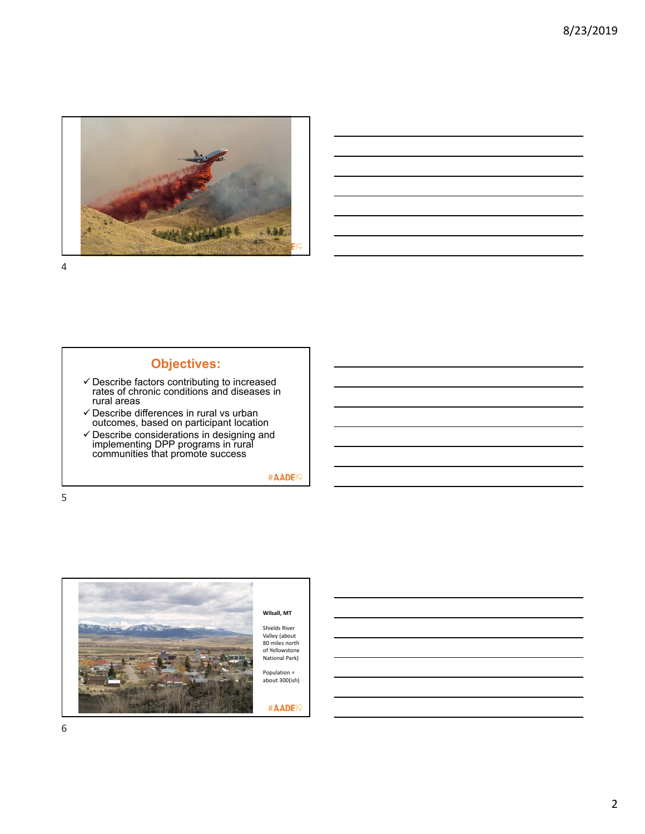



# **Objectives:**

- $\checkmark$  Describe factors contributing to increased rates of chronic conditions and diseases in rural areas
- $\checkmark$  Describe differences in rural vs urban outcomes, based on participant location
- $\checkmark$  Describe considerations in designing and implementing DPP programs in rural communities that promote success

#AADE<sup>19</sup>

5



Valley (about<br>80 miles north of Yellowstone National Park)

about 300(ish)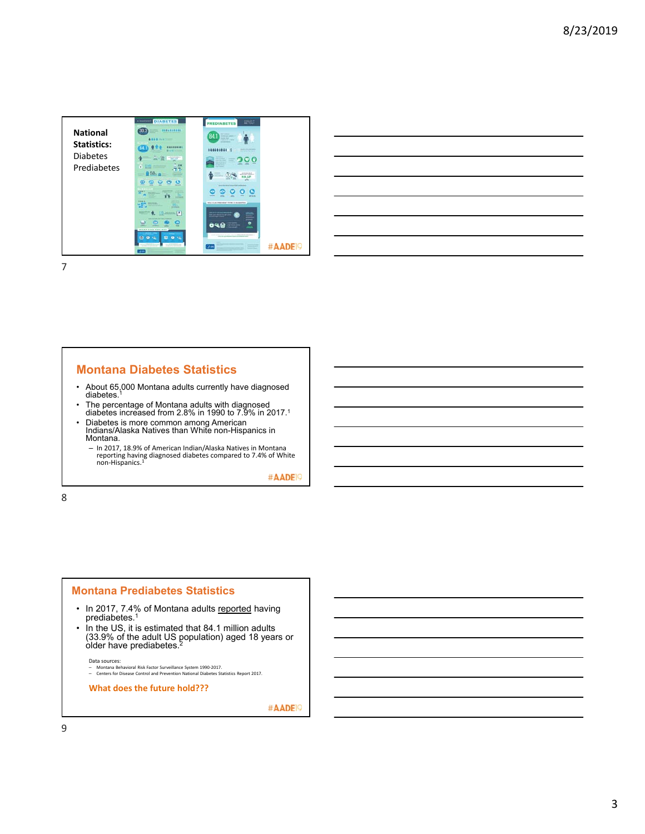

|                                              |  | the control of the control of the |
|----------------------------------------------|--|-----------------------------------|
|                                              |  |                                   |
| the control of the control of the control of |  |                                   |
|                                              |  |                                   |
|                                              |  | ________                          |
|                                              |  | ___                               |
|                                              |  |                                   |

#### **Montana Diabetes Statistics**

- About 65,000 Montana adults currently have diagnosed diabetes.<sup>1</sup>
- The percentage of Montana adults with diagnosed diabetes increased from 2.8% in 1990 to 7.9% in 2017.1
- Diabetes is more common among American Indians/Alaska Natives than White non-Hispanics in Montana.
	- In 2017, 18.9% of American Indian/Alaska Natives in Montana reporting having diagnosed diabetes compared to 7.4% of White<br>non-Hispanics.<sup>1</sup>

#AADE<sup>19</sup>

8

#### **Montana Prediabetes Statistics**

- In 2017, 7.4% of Montana adults <u>reported</u> having<br>prediabetes.<sup>1</sup>
- In the US, it is estimated that 84.1 million adults (33.9% of the adult US population) aged 18 years or older have prediabetes.2

Data sources: – Montana Behavioral Risk Factor Surveillance System 1990‐2017. – Centers for Disease Control and Prevention National Diabetes Statistics Report 2017.

**What does the future hold???**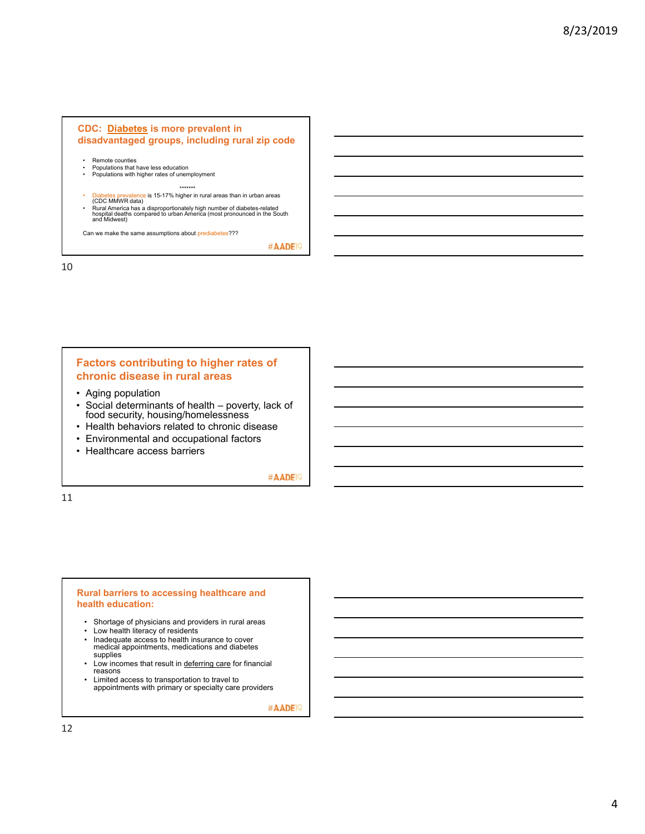#### **CDC: Diabetes is more prevalent in disadvantaged groups, including rural zip code**

- Remote counties<br>• Populations that I
- Populations that have less education<br>• Populations with bigher rates of unem • Populations with higher rates of unemployment
- \*\*\*\*\*\*\*
	- s prevalence is 15-17% higher in rural areas than in urban areas
- 
- (CDC MMWR data)<br>• Rural America has a disproportionately high number of diabetes-related<br>hospital deaths compared to urban America (most pronounced in the South<br>and Midwest)

Can we make the same assumptions about prediabetes???

#AADE<sup>19</sup>

10

#### **Factors contributing to higher rates of chronic disease in rural areas**

- Aging population
- Social determinants of health poverty, lack of food security, housing/homelessness
- Health behaviors related to chronic disease
- Environmental and occupational factors
- Healthcare access barriers

#AADE<sup>19</sup>

11

#### **Rural barriers to accessing healthcare and health education:**

- Shortage of physicians and providers in rural areas
- Low health literacy of residents<br>• Inadequate access to health ins
- Inadequate access to health insurance to cover medical appointments, medications and diabetes supplies
- Low incomes that result in deferring care for financial reasons
- Limited access to transportation to travel to appointments with primary or specialty care providers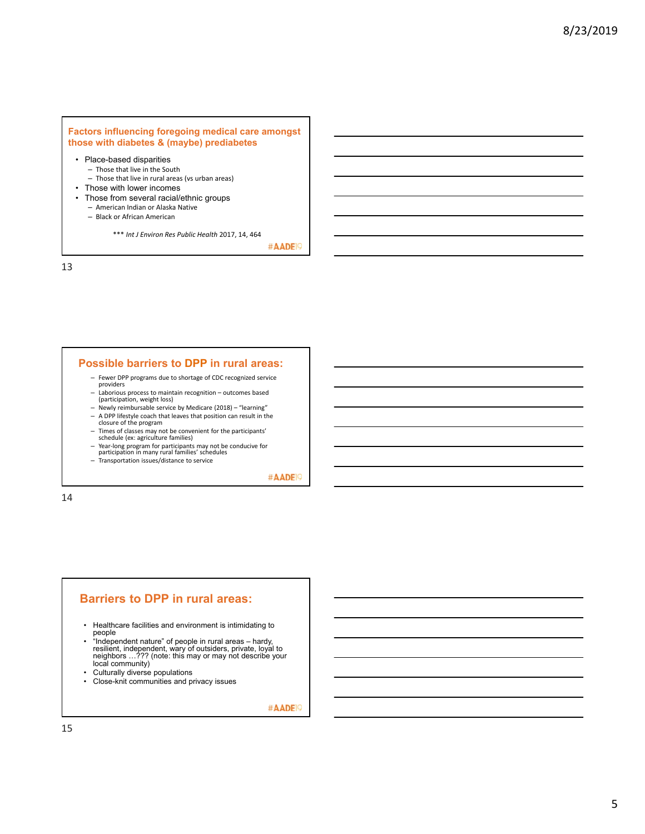#### **Factors influencing foregoing medical care amongst those with diabetes & (maybe) prediabetes**

- Place-based disparities – Those that live in the South
- Those that live in rural areas (vs urban areas)
- Those with lower incomes
- Those from several racial/ethnic groups
	- American Indian or Alaska Native
	- Black or African American

\*\*\* *Int J Environ Res Public Health* 2017, 14, 464

#AADE<sup>19</sup>

13

#### **Possible barriers to DPP in rural areas:**

- Fewer DPP programs due to shortage of CDC recognized service providers – Laborious process to maintain recognition – outcomes based
- (participation, weight loss)
- Newly reimbursable service by Medicare (2018) "learning"
- A DPP lifestyle coach that leaves that position can result in the closure of the program
- 
- 
- − Times of classes may not be convenient for the participants'<br>
schedule (ex: agriculture families)<br>
→ Year-long program for participants may not be conducive for<br>
participation in many rural families' schedules
- Transportation issues/distance to service

#AADE<sup>19</sup>

14

#### **Barriers to DPP in rural areas:**

- Healthcare facilities and environment is intimidating to people
- "Independent nature" of people in rural areas hardy, resilient, independent, wary of outsiders, private, loyal to neighbors …??? (note: this may or may not describe your local community)
- Culturally diverse populations
- Close-knit communities and privacy issues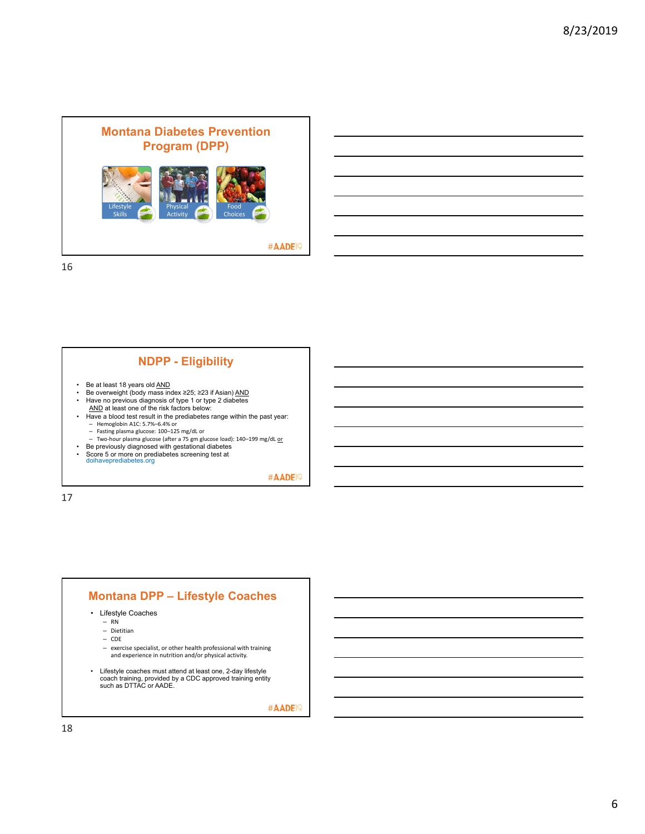



#AADE<sup>19</sup>

17

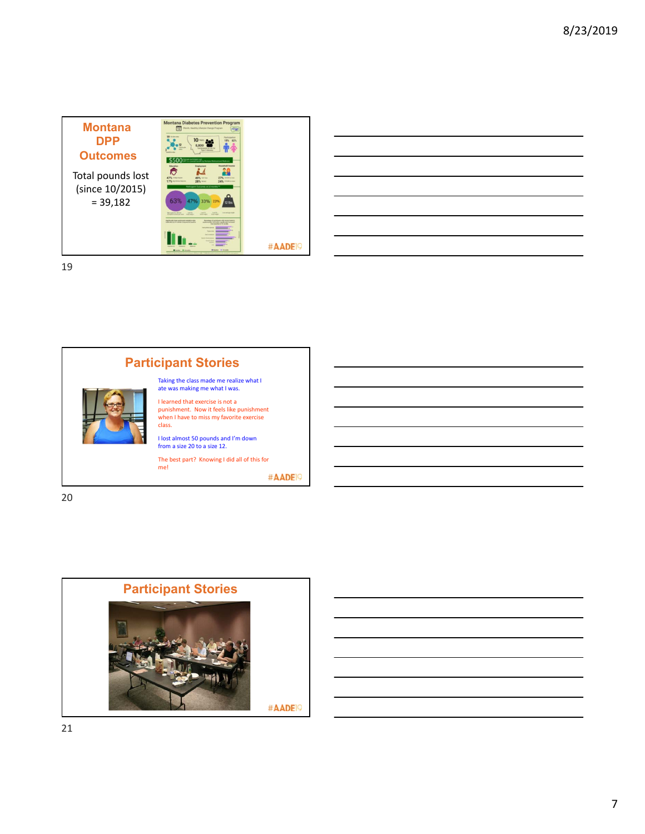





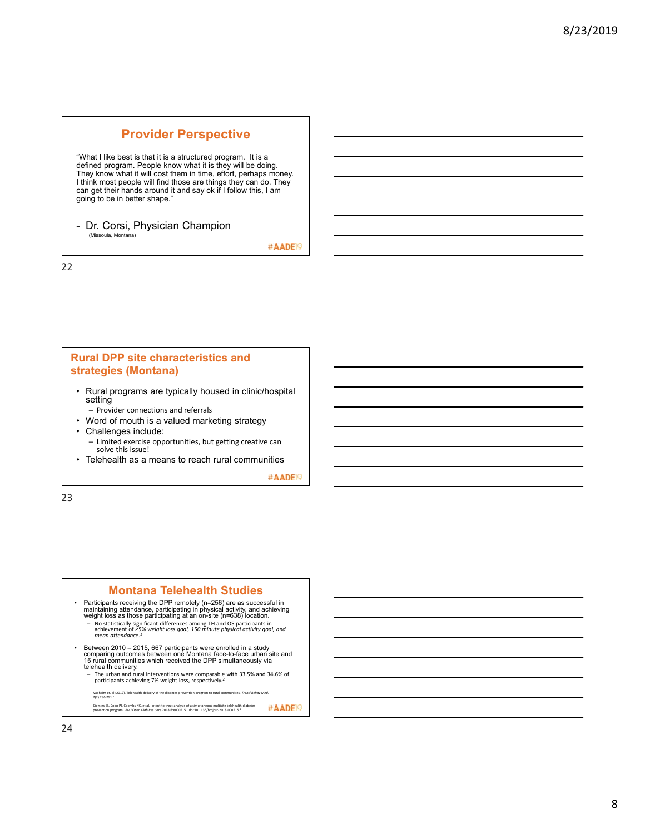# **Provider Perspective**

"What I like best is that it is a structured program. It is a defined program. People know what it is they will be doing. They know what it will cost them in time, effort, perhaps money. I think most people will find those are things they can do. They can get their hands around it and say ok if I follow this, I am going to be in better shape."

- Dr. Corsi, Physician Champion (Missoula, Montana)

#AADE<sup>19</sup>

22

#### **Rural DPP site characteristics and strategies (Montana)**

- Rural programs are typically housed in clinic/hospital setting
	- Provider connections and referrals
- Word of mouth is a valued marketing strategy • Challenges include:
	- Limited exercise opportunities, but getting creative can solve this issue!
- Telehealth as a means to reach rural communities

#AADE<sup>19</sup>

23

#### **Montana Telehealth Studies**

- Participants receiving the DPP remotely (n=256) are as successful in maintaining attendance, participating in physical activity, and achieving weight loss as those participating at an on-site (n=638) location.<br>– No stat
- Between 2010 2015, 667 participants were enrolled in a study comparing outcomes between one Montana face-to-face urban site and 15 rural communities which received the DPP simultaneously via telehealth delivery.
	- The urban and rural interventions were comparable with 33.5% and 34.6% of participants achieving 7% weight loss, respectively.<sup>2</sup>

Vadheim et. al (2017). Telehealth delivery of the diabetes prevention program to rural communities. *Transl Behav Med,*<br>7(2):286-291 <sup>1</sup> Ciemins EL, Coon PJ, Coombs NC, et al. Intent‐to‐treat analysis of a simultaneous multisite telehealth diabetes<br>prevention program. *BMJ Open Diab Res Care 2018;6:e000515. doi:10.1136/bmjdrc‐2018‐000515<sup>2</sup>*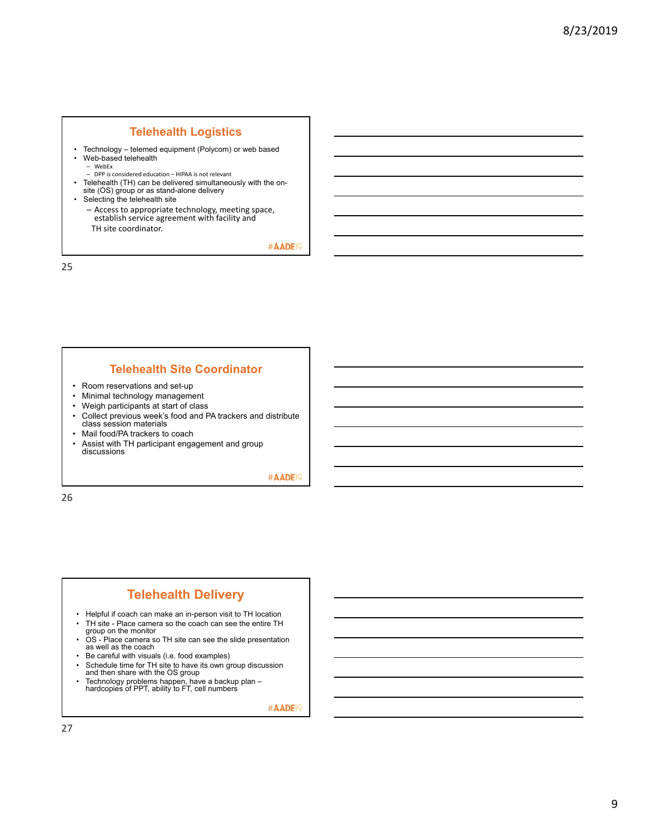#### **Telehealth Logistics**

- Technology telemed equipment (Polycom) or web based • Web-based telehealth
	- WebEx
	- DPP is considered education HIPAA is not relevant
- Telehealth (TH) can be delivered simultaneously with the onsite (OS) group or as stand-alone delivery
- Selecting the telehealth site
	- Access to appropriate technology, meeting space, establish service agreement with facility and TH site coordinator.

#AADE<sup>19</sup>

25

#### **Telehealth Site Coordinator**

- Room reservations and set-up
- Minimal technology management
- Weigh participants at start of class
- Collect previous week's food and PA trackers and distribute class session materials
- Mail food/PA trackers to coach
- Assist with TH participant engagement and group discussions

#AADE<sup>19</sup>

26

# **Telehealth Delivery**

- Helpful if coach can make an in-person visit to TH location • TH site - Place camera so the coach can see the entire TH
- group on the monitor • OS - Place camera so TH site can see the slide presentation as well as the coach
- Be careful with visuals (i.e. food examples)
- Schedule time for TH site to have its own group discussion and then share with the OS group
- Technology problems happen, have a backup plan hardcopies of PPT, ability to FT, cell numbers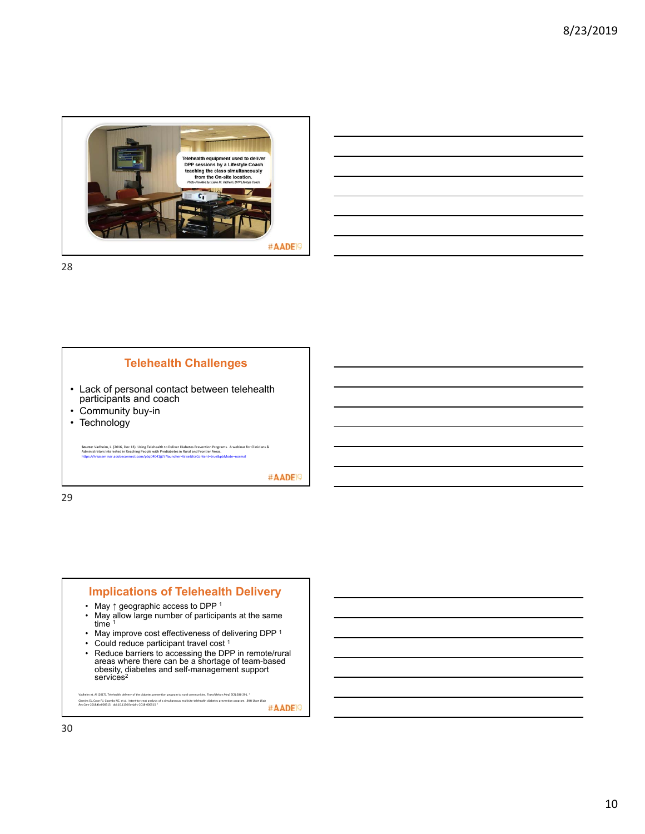

# **Telehealth Challenges**

- Lack of personal contact between telehealth participants and coach
- Community buy-in
- Technology

**Source**: Vadheim, L. (2016, Dec 13). Using Telehealth to Deliver Diabetes Prevention Programs. A webinar for Clinicians &<br>Administrators Interested in Reaching People with Prediabetes in Rural and Frontier Areas.<br>https://

#AADE<sup>19</sup>

29

# • May ↑ geographic access to DPP 1 • May allow large number of participants at the same time  $1$ • May improve cost effectiveness of delivering DPP 1 • Could reduce participant travel cost 1<br>• Reduce barriers to accessing the DPF • Reduce barriers to accessing the DPP in remote/rural areas where there can be a shortage of team-based obesity, diabetes and self-management support services<sup>2</sup>

**Implications of Telehealth Delivery**

Vadheim et. Al (2017). Telehealth delivery of the diabetes prevention program to rural communities. Tronsl Behov Med, 7(2):286-291. <sup>1</sup><br>Clemins El, Coon PJ, Coombs WL, et al. Intent-to-treat analysis of a simultaneous mult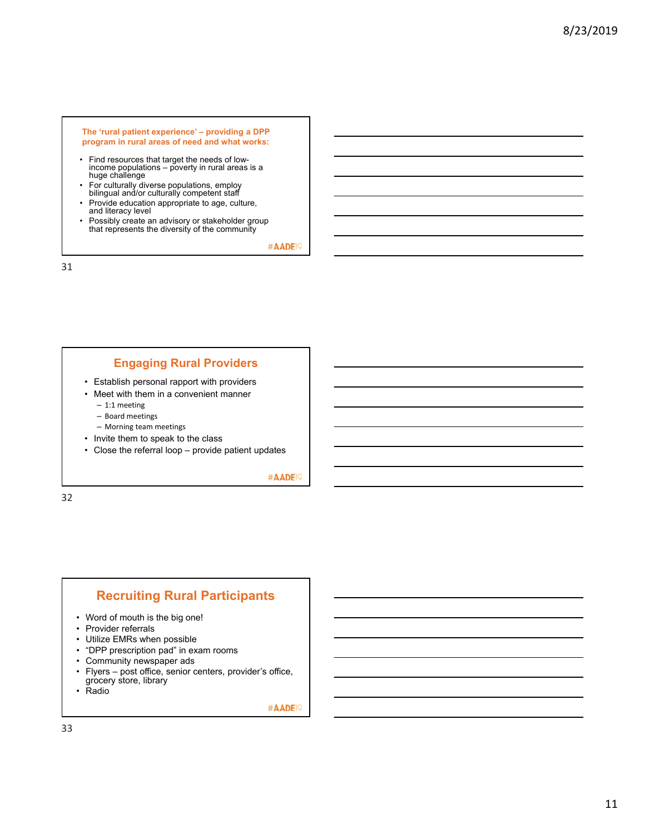#### **The 'rural patient experience' – providing a DPP program in rural areas of need and what works:**

- Find resources that target the needs of low-income populations poverty in rural areas is a huge challenge
- For culturally diverse populations, employ bilingual and/or culturally competent staff
- Provide education appropriate to age, culture, and literacy level
- Possibly create an advisory or stakeholder group that represents the diversity of the community

#AADE<sup>19</sup>

31

## **Engaging Rural Providers**

- Establish personal rapport with providers
- Meet with them in a convenient manner
	- 1:1 meeting
	- Board meetings
- Morning team meetings • Invite them to speak to the class
- 
- Close the referral loop provide patient updates

#AADE<sup>19</sup>

32

### **Recruiting Rural Participants**

- Word of mouth is the big one!
- Provider referrals
- Utilize EMRs when possible
- "DPP prescription pad" in exam rooms
- Community newspaper ads<br>• Flyers post office senior of
- Flyers post office, senior centers, provider's office, grocery store, library
- Radio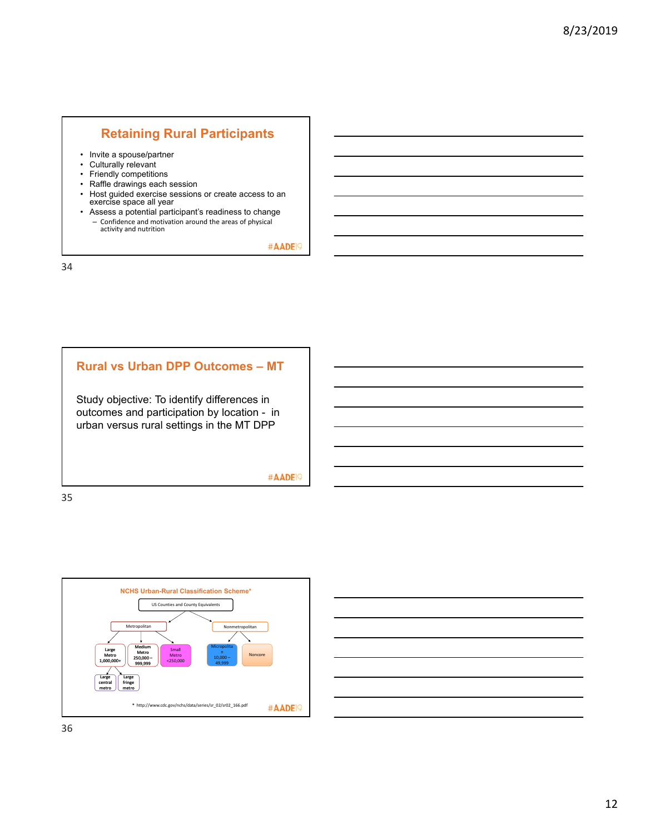# **Retaining Rural Participants**

- Invite a spouse/partner
- Culturally relevant
- Friendly competitions
- Raffle drawings each session
- Host guided exercise sessions or create access to an exercise space all year
- Assess a potential participant's readiness to change – Confidence and motivation around the areas of physical activity and nutrition

#AADE<sup>19</sup>

34

#### **Rural vs Urban DPP Outcomes – MT**

Study objective: To identify differences in outcomes and participation by location - in urban versus rural settings in the MT DPP

#AADE<sup>19</sup>



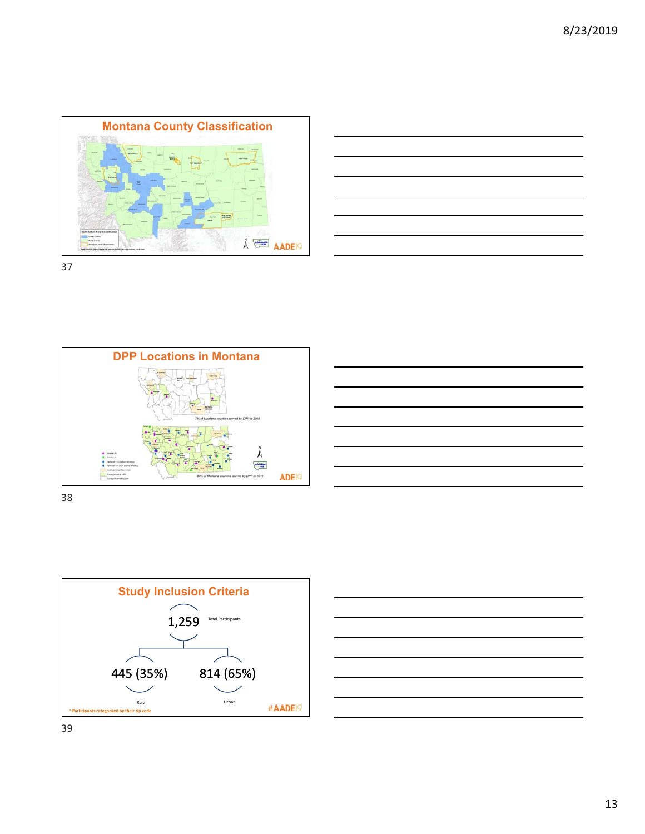











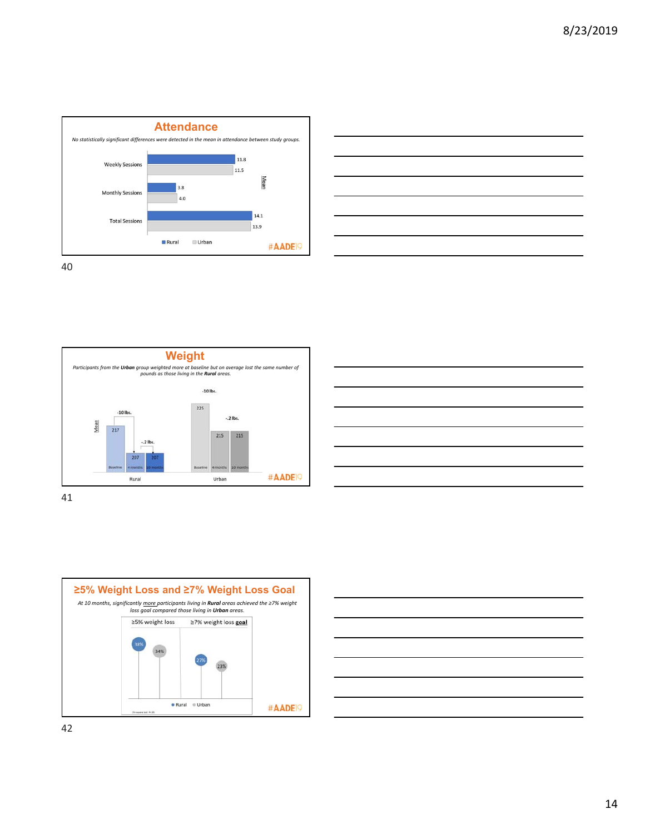









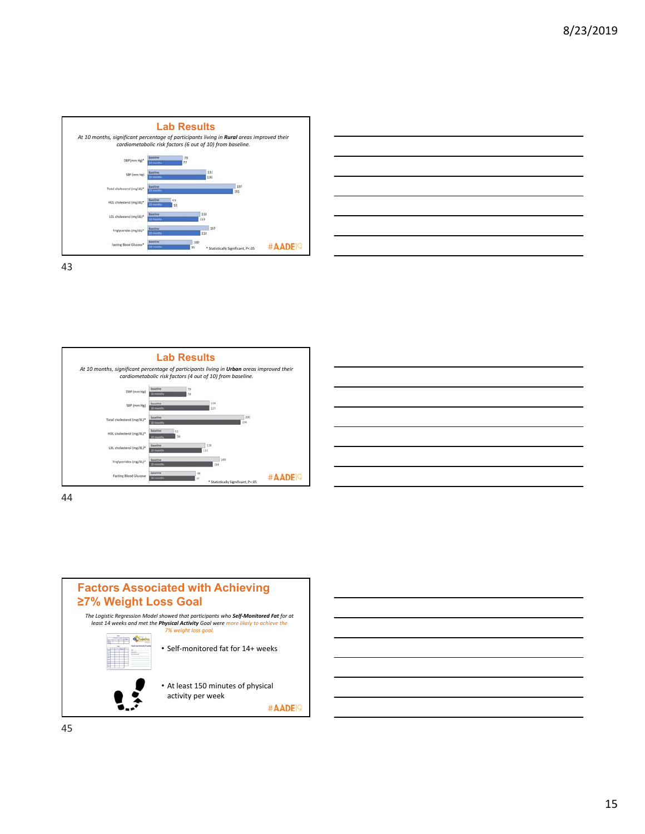







44